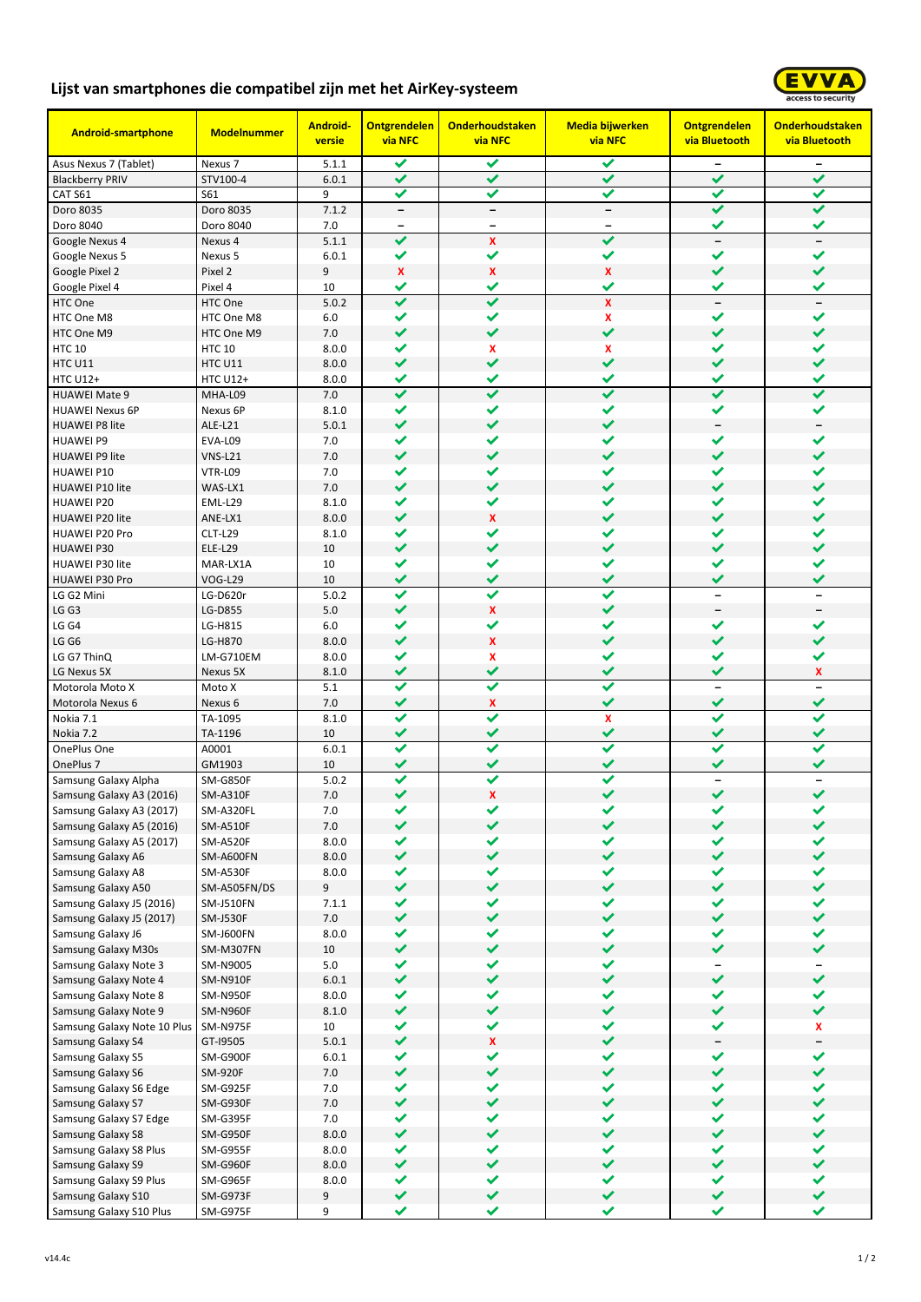## **Lijst van smartphones die compatibel zijn met het AirKey-systeem**



| <b>Android-smartphone</b>                       | <b>Modelnummer</b>        | <b>Android-</b><br>versie | <b>Ontgrendelen</b><br>via NFC | <b>Onderhoudstaken</b><br><b>via NFC</b> | <b>Media bijwerken</b><br><b>via NFC</b> | <b>Ontgrendelen</b><br>via Bluetooth     | <b>Onderhoudstaken</b><br>via Bluetooth |
|-------------------------------------------------|---------------------------|---------------------------|--------------------------------|------------------------------------------|------------------------------------------|------------------------------------------|-----------------------------------------|
| Asus Nexus 7 (Tablet)                           | Nexus 7                   | 5.1.1                     | ✔                              | ✓                                        | ✓                                        | $\overline{\phantom{a}}$                 | $\qquad \qquad -$                       |
| <b>Blackberry PRIV</b>                          | STV100-4                  | 6.0.1                     | ✔                              | ✔                                        | ✔                                        | ✔                                        | ✔                                       |
| CAT S61                                         | S61                       | 9                         | ✔                              | ✔                                        | ✔                                        | ✔                                        | ✔                                       |
| Doro 8035                                       | Doro 8035                 | 7.1.2                     | $\overline{\phantom{a}}$       | $\overline{\phantom{a}}$                 | $\overline{\phantom{a}}$                 | ✔                                        | $\checkmark$                            |
| Doro 8040                                       | Doro 8040                 | 7.0                       | $\qquad \qquad$                | $\qquad \qquad -$                        |                                          | ✔                                        | ✔                                       |
| Google Nexus 4                                  | Nexus 4                   | 5.1.1                     | $\checkmark$                   | $\mathbf{x}$                             | ✔                                        | $\overline{\phantom{a}}$                 | $\overline{\phantom{a}}$                |
| Google Nexus 5<br>Google Pixel 2                | Nexus 5<br>Pixel 2        | 6.0.1<br>9                | ✔<br>x                         | ✔<br>X                                   | ✔<br>$\mathbf{x}$                        | ✓<br>$\checkmark$                        | ✓<br>✔                                  |
| Google Pixel 4                                  | Pixel 4                   | 10                        | ✔                              | ✔                                        | ✔                                        | ✔                                        | ✔                                       |
| HTC One                                         | HTC One                   | 5.0.2                     | $\checkmark$                   | $\checkmark$                             | $\mathbf x$                              | $\overline{\phantom{m}}$                 | $\qquad \qquad -$                       |
| HTC One M8                                      | HTC One M8                | 6.0                       | ✓                              | ✔                                        | x                                        | ✔                                        | ✔                                       |
| HTC One M9                                      | HTC One M9                | 7.0                       | $\checkmark$                   | ✔                                        | ✔                                        | $\checkmark$                             | ✔                                       |
| <b>HTC 10</b>                                   | <b>HTC 10</b>             | 8.0.0                     | ✔                              | X                                        | X                                        | ✓                                        | ✔                                       |
| HTC U11                                         | HTC U11                   | 8.0.0                     | ✔                              | ✔                                        | ✔                                        | ✓                                        | ✔                                       |
| <b>HTC U12+</b>                                 | <b>HTC U12+</b>           | 8.0.0                     | ✔                              | ✔                                        | ✔                                        | ✔                                        | ✔                                       |
| <b>HUAWEI Mate 9</b>                            | MHA-L09                   | 7.0                       | ✔                              | ✔                                        | $\checkmark$                             | ✔                                        | ✔                                       |
| <b>HUAWEI Nexus 6P</b>                          | Nexus 6P                  | 8.1.0                     | ✔                              | ✔                                        | ✔                                        | ✓                                        | ✔                                       |
| <b>HUAWEI P8 lite</b>                           | ALE-L21                   | 5.0.1                     | $\checkmark$                   | ✔                                        | ✔                                        | $\overline{\phantom{a}}$                 |                                         |
| <b>HUAWEI P9</b>                                | EVA-L09                   | 7.0                       | ✔                              | ✔                                        | ✓                                        | ✔                                        | ✓                                       |
| <b>HUAWEI P9 lite</b>                           | $V$ NS-L21                | 7.0                       | ✔                              | $\checkmark$                             | ✔                                        | $\checkmark$                             | ✔                                       |
| <b>HUAWEI P10</b>                               | VTR-L09                   | 7.0                       | ✔                              | ✔                                        | ✔                                        | ✔                                        | ✔                                       |
| <b>HUAWEI P10 lite</b>                          | WAS-LX1                   | 7.0                       | $\checkmark$                   | ✔                                        | ✔                                        | ✓                                        | ✔                                       |
| <b>HUAWEI P20</b>                               | EML-L29                   | 8.1.0                     | ✔<br>$\checkmark$              | ✔                                        | ✔<br>✔                                   | ✔<br>$\checkmark$                        | ✔<br>✔                                  |
| <b>HUAWEI P20 lite</b><br><b>HUAWEI P20 Pro</b> | ANE-LX1<br><b>CLT-L29</b> | 8.0.0<br>8.1.0            | ✔                              | $\mathbf{x}$<br>✔                        | ✔                                        | ✓                                        | ✔                                       |
| <b>HUAWEI P30</b>                               | <b>ELE-L29</b>            | 10                        | ✔                              | ✔                                        | ✔                                        | ✔                                        | ✔                                       |
| <b>HUAWEI P30 lite</b>                          | MAR-LX1A                  | 10                        | ✔                              | ✔                                        | ✔                                        | ✔                                        | ✔                                       |
| <b>HUAWEI P30 Pro</b>                           | <b>VOG-L29</b>            | 10                        | ✔                              | ✔                                        | ✔                                        | ✓                                        | ✔                                       |
| LG G2 Mini                                      | LG-D620r                  | 5.0.2                     | ✔                              | ✓                                        | ✔                                        | $\overline{\phantom{0}}$                 | $\overline{\phantom{0}}$                |
| LG G3                                           | LG-D855                   | 5.0                       | $\checkmark$                   | $\mathbf{x}$                             | $\checkmark$                             | $\overline{\phantom{a}}$                 |                                         |
| LG G4                                           | LG-H815                   | 6.0                       | ✔                              | ✔                                        | ✔                                        | ✓                                        | ✔                                       |
| LG G6                                           | LG-H870                   | 8.0.0                     | $\checkmark$                   | $\mathbf{x}$                             | ✔                                        | $\checkmark$                             | ✔                                       |
| LG G7 ThinQ                                     | LM-G710EM                 | 8.0.0                     | ✓                              | X                                        | ✔                                        | ✔                                        | ✔                                       |
| LG Nexus 5X                                     | Nexus 5X                  | 8.1.0                     | ✔                              | ✔                                        | ✔                                        | ✔                                        | x                                       |
| Motorola Moto X                                 | Moto X                    | 5.1                       | ✔                              | ✓                                        | ✓                                        | $\overline{\phantom{0}}$                 |                                         |
| Motorola Nexus 6                                | Nexus 6                   | 7.0                       | ✔                              | X                                        | ✔                                        | ✔                                        | ✔                                       |
| Nokia 7.1                                       | TA-1095                   | 8.1.0                     | ✔                              | ✔                                        | $\mathbf x$                              | ✔                                        |                                         |
| Nokia 7.2                                       | TA-1196                   | 10                        | ✔<br>✓                         | ✔<br>✓                                   | ✔                                        | ✔<br>✔                                   | ✔                                       |
| OnePlus One<br>OnePlus <sub>7</sub>             | A0001                     | 6.0.1<br>10               |                                |                                          |                                          | ✔                                        | ✔                                       |
| Samsung Galaxy Alpha                            | GM1903<br><b>SM-G850F</b> | 5.0.2                     | ✔<br>✔                         | ✔<br>✓                                   | ✔<br>✓                                   | $\overline{\phantom{0}}$                 |                                         |
| Samsung Galaxy A3 (2016)                        | <b>SM-A310F</b>           | 7.0                       | ✔                              | $\pmb{\mathsf{x}}$                       | ✔                                        | $\checkmark$                             | ✔                                       |
| Samsung Galaxy A3 (2017)                        | SM-A320FL                 | 7.0                       | ✔                              | ✔                                        |                                          |                                          |                                         |
| Samsung Galaxy A5 (2016)                        | <b>SM-A510F</b>           | 7.0                       | $\checkmark$                   | $\checkmark$                             | ✔                                        | ✔                                        | $\checkmark$                            |
| Samsung Galaxy A5 (2017)                        | <b>SM-A520F</b>           | 8.0.0                     | ✔                              | ✔                                        | ✔                                        | ✔                                        | ✔                                       |
| Samsung Galaxy A6                               | SM-A600FN                 | 8.0.0                     | $\checkmark$                   | $\checkmark$                             | $\checkmark$                             | $\checkmark$                             | $\checkmark$                            |
| Samsung Galaxy A8                               | <b>SM-A530F</b>           | 8.0.0                     | ✔                              | ✔                                        | ✓                                        | ✓                                        | $\checkmark$                            |
| Samsung Galaxy A50                              | SM-A505FN/DS              | 9                         | $\checkmark$                   | $\checkmark$                             | $\checkmark$                             | $\checkmark$                             | $\checkmark$                            |
| Samsung Galaxy J5 (2016)                        | <b>SM-J510FN</b>          | 7.1.1                     | ✓                              | ✓                                        | ✓                                        | ✓                                        | ✓                                       |
| Samsung Galaxy J5 (2017)                        | <b>SM-J530F</b>           | 7.0                       | $\checkmark$                   | $\checkmark$                             | $\checkmark$                             | $\checkmark$                             | $\checkmark$                            |
| Samsung Galaxy J6                               | <b>SM-J600FN</b>          | 8.0.0                     | ✔                              | ✔                                        | ✔                                        | ✓                                        | ✔                                       |
| Samsung Galaxy M30s                             | SM-M307FN                 | 10                        | $\checkmark$                   | $\checkmark$                             | $\checkmark$                             | $\checkmark$                             | $\checkmark$                            |
| Samsung Galaxy Note 3                           | SM-N9005                  | 5.0                       | ✔                              | ✔                                        | ✔                                        |                                          |                                         |
| Samsung Galaxy Note 4                           | <b>SM-N910F</b>           | 6.0.1                     | $\checkmark$                   | $\checkmark$                             | $\checkmark$                             | $\checkmark$                             | $\checkmark$                            |
| Samsung Galaxy Note 8                           | SM-N950F                  | 8.0.0                     | ✓                              | ✓                                        | $\checkmark$<br>$\checkmark$             | ✓<br>$\checkmark$                        | ✓                                       |
| Samsung Galaxy Note 9                           | <b>SM-N960F</b>           | 8.1.0                     | $\checkmark$                   | $\checkmark$                             |                                          |                                          | $\checkmark$                            |
| Samsung Galaxy Note 10 Plus                     | SM-N975F                  | 10<br>5.0.1               | ✔<br>$\checkmark$              | ✔<br>$\pmb{\mathsf{x}}$                  | ✓<br>$\checkmark$                        | ✓                                        | x                                       |
| <b>Samsung Galaxy S4</b><br>Samsung Galaxy S5   | GT-19505<br>SM-G900F      | 6.0.1                     | ✔                              | ✔                                        | ✔                                        | $\overline{\phantom{a}}$<br>$\checkmark$ | $\checkmark$                            |
| Samsung Galaxy S6                               | <b>SM-920F</b>            | 7.0                       | $\checkmark$                   | $\checkmark$                             | $\checkmark$                             | $\checkmark$                             | $\checkmark$                            |
| Samsung Galaxy S6 Edge                          | SM-G925F                  | 7.0                       | ✔                              | ✓                                        | $\checkmark$                             | ✓                                        | ✔                                       |
| Samsung Galaxy S7                               | SM-G930F                  | 7.0                       | $\checkmark$                   | $\checkmark$                             | $\checkmark$                             | $\checkmark$                             | $\checkmark$                            |
| Samsung Galaxy S7 Edge                          | SM-G395F                  | 7.0                       | ✔                              | ✓                                        | $\checkmark$                             | ✓                                        | ✓                                       |
| Samsung Galaxy S8                               | SM-G950F                  | 8.0.0                     | $\checkmark$                   | $\checkmark$                             | $\checkmark$                             | $\checkmark$                             | $\checkmark$                            |
| Samsung Galaxy S8 Plus                          | SM-G955F                  | 8.0.0                     | ✔                              | ✔                                        | $\checkmark$                             | ✓                                        | ✔                                       |
| Samsung Galaxy S9                               | SM-G960F                  | 8.0.0                     | $\checkmark$                   | $\checkmark$                             | $\checkmark$                             | $\checkmark$                             | $\checkmark$                            |
| Samsung Galaxy S9 Plus                          | SM-G965F                  | 8.0.0                     | ✔                              | ✔                                        | ✔                                        | $\checkmark$                             | ✓                                       |
| Samsung Galaxy S10                              | SM-G973F                  | 9                         | $\checkmark$                   | $\checkmark$                             | $\checkmark$                             | $\checkmark$                             | $\checkmark$                            |
| Samsung Galaxy S10 Plus                         | SM-G975F                  | 9                         | ✓                              | ✔                                        | ✓                                        | ✓                                        | ✓                                       |